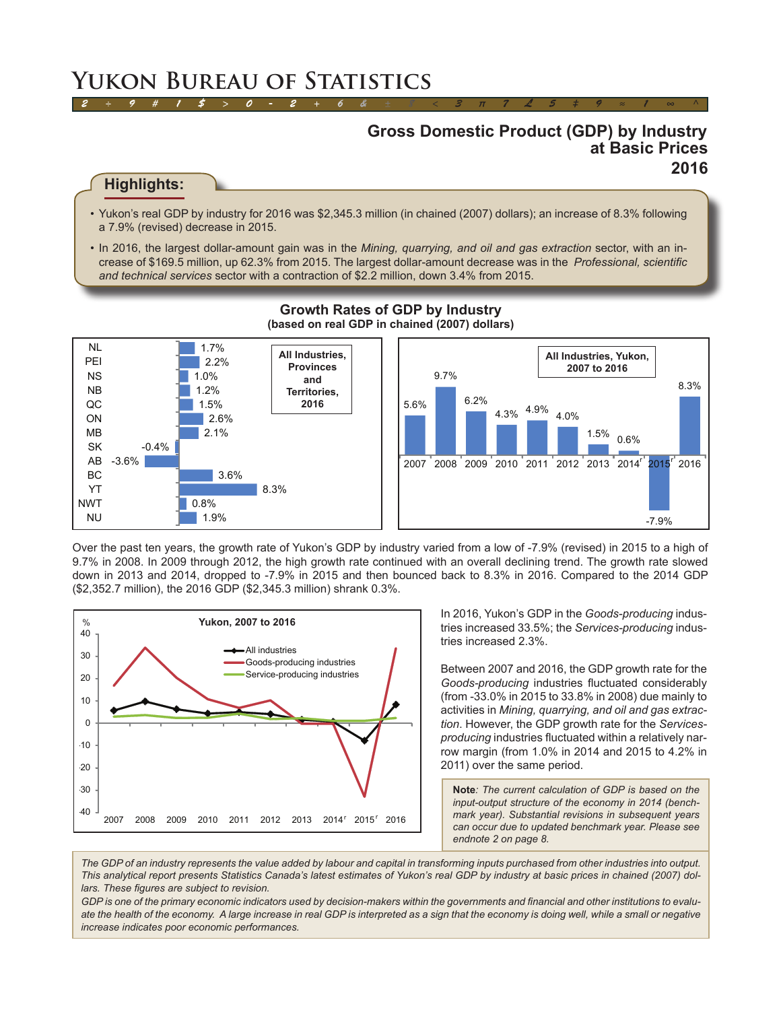# **Yukon Bureau of Statistics**

## **Gross Domestic Product (GDP) by Industry at Basic Prices 2016**

### **Highlights:**

• Yukon's real GDP by industry for 2016 was \$2,345.3 million (in chained (2007) dollars); an increase of 8.3% following a 7.9% (revised) decrease in 2015.

*2 ÷ 9 # 1 \$ > 0 - 2 + 6 & ± 8 < 3 π 7 £ 5 ‡ 9 ≈ 1 ∞ ^*

• In 2016, the largest dollar-amount gain was in the *Mining, quarrying, and oil and gas extraction* sector, with an increase of \$169.5 million, up 62.3% from 2015. The largest dollar-amount decrease was in the *Professional, scientific and technical services* sector with a contraction of \$2.2 million, down 3.4% from 2015.



#### **Growth Rates of GDP by Industry (based on real GDP in chained (2007) dollars)**

Over the past ten years, the growth rate of Yukon's GDP by industry varied from a low of -7.9% (revised) in 2015 to a high of 9.7% in 2008. In 2009 through 2012, the high growth rate continued with an overall declining trend. The growth rate slowed down in 2013 and 2014, dropped to -7.9% in 2015 and then bounced back to 8.3% in 2016. Compared to the 2014 GDP (\$2,352.7 million), the 2016 GDP (\$2,345.3 million) shrank 0.3%.



In 2016, Yukon's GDP in the *Goods-producing* industries increased 33.5%; the *Services-producing* industries increased 2.3%.

Between 2007 and 2016, the GDP growth rate for the *Goods-producing* industries fluctuated considerably (from -33.0% in 2015 to 33.8% in 2008) due mainly to activities in *Mining, quarrying, and oil and gas extraction*. However, the GDP growth rate for the *Servicesproducing* industries fluctuated within a relatively narrow margin (from 1.0% in 2014 and 2015 to 4.2% in 2011) over the same period.

**Note***: The current calculation of GDP is based on the input-output structure of the economy in 2014 (benchmark year). Substantial revisions in subsequent years can occur due to updated benchmark year. Please see endnote 2 on page 8.*

*The GDP of an industry represents the value added by labour and capital in transforming inputs purchased from other industries into output. This analytical report presents Statistics Canada's latest estimates of Yukon's real GDP by industry at basic prices in chained (2007) dollars. These figures are subject to revision.*

*GDP is one of the primary economic indicators used by decision-makers within the governments and financial and other institutions to evalu*ate the health of the economy. A large increase in real GDP is interpreted as a sign that the economy is doing well, while a small or negative *increase indicates poor economic performances.*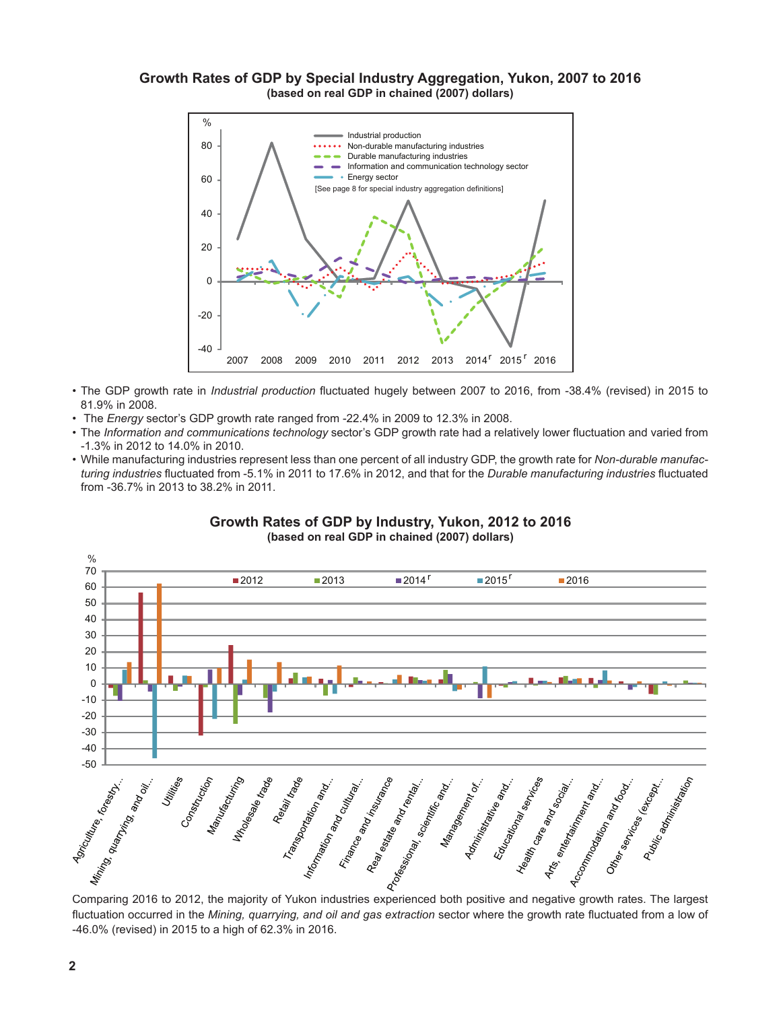#### **Growth Rates of GDP by Special Industry Aggregation, Yukon, 2007 to 2016 (based on real GDP in chained (2007) dollars)**



- • The GDP growth rate in *Industrial production* fluctuated hugely between 2007 to 2016, from -38.4% (revised) in 2015 to 81.9% in 2008.
- • The *Energy* sector's GDP growth rate ranged from -22.4% in 2009 to 12.3% in 2008.
- • The *Information and communications technology* sector's GDP growth rate had a relatively lower fluctuation and varied from -1.3% in 2012 to 14.0% in 2010.
- • While manufacturing industries represent less than one percent of all industry GDP, the growth rate for *Non-durable manufacturing industries* fluctuated from -5.1% in 2011 to 17.6% in 2012, and that for the *Durable manufacturing industries* fluctuated from -36.7% in 2013 to 38.2% in 2011.



**Growth Rates of GDP by Industry, Yukon, 2012 to 2016 (based on real GDP in chained (2007) dollars)**

fluctuation occurred in the *Mining, quarrying, and oil and gas extraction* sector where the growth rate fluctuated from a low of -46.0% (revised) in 2015 to a high of 62.3% in 2016.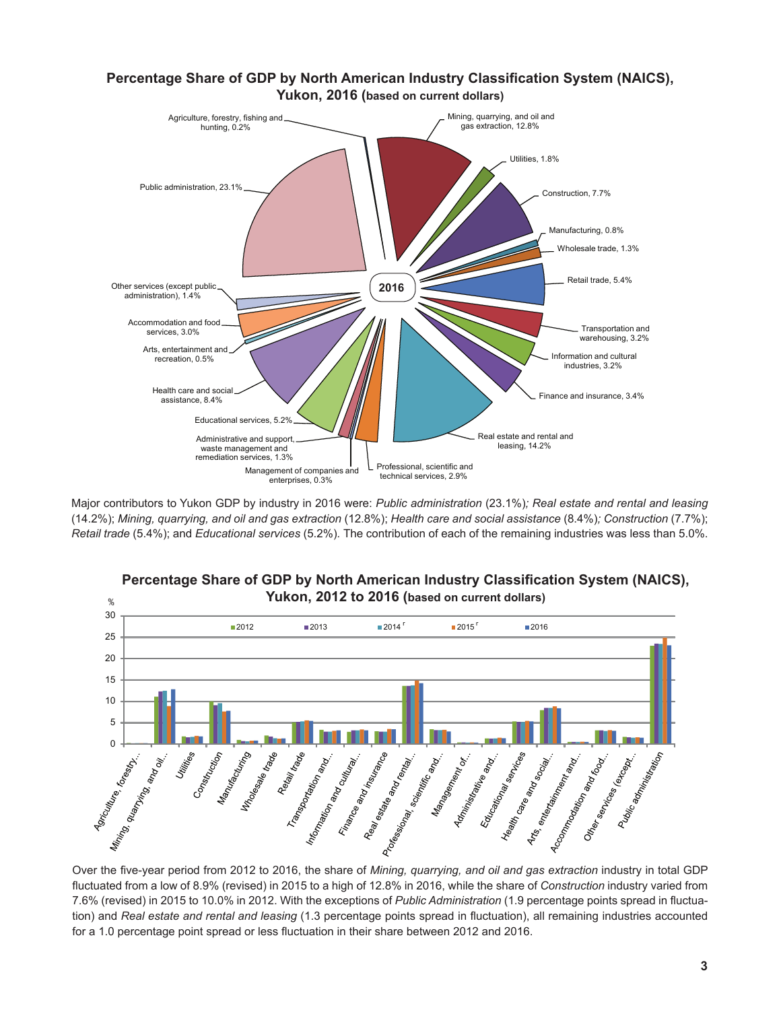#### **Percentage Share of GDP by North American Industry Classification System (NAICS), Yukon, 2016 (based on current dollars)**



Major contributors to Yukon GDP by industry in 2016 were: *Public administration* (23.1%)*; Real estate and rental and leasing*  (14.2%); *Mining, quarrying, and oil and gas extraction* (12.8%); *Health care and social assistance* (8.4%)*; Construction* (7.7%); *Retail trade* (5.4%); and *Educational services* (5.2%)*.* The contribution of each of the remaining industries was less than 5.0%.



# **Percentage Share of GDP by North American Industry Classification System (NAICS),**

fluctuated from a low of 8.9% (revised) in 2015 to a high of 12.8% in 2016, while the share of *Construction* industry varied from 7.6% (revised) in 2015 to 10.0% in 2012. With the exceptions of *Public Administration* (1.9 percentage points spread in fluctuation) and *Real estate and rental and leasing* (1.3 percentage points spread in fluctuation), all remaining industries accounted for a 1.0 percentage point spread or less fluctuation in their share between 2012 and 2016.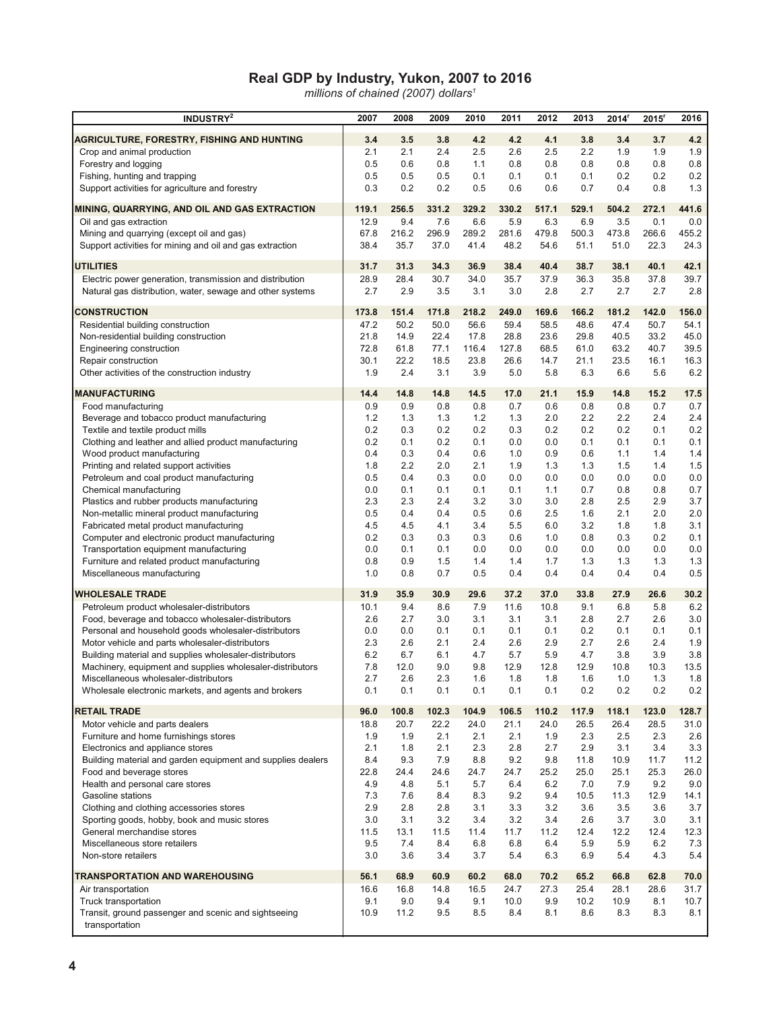#### **Real GDP by Industry, Yukon, 2007 to 2016**

*millions of chained (2007) dollars1*

| <b>INDUSTRY</b> <sup>2</sup>                                                                                        | 2007        | 2008        | 2009        | 2010        | 2011        | 2012        | 2013        | 2014 <sup>r</sup> | $2015$ <sup>r</sup> | 2016        |
|---------------------------------------------------------------------------------------------------------------------|-------------|-------------|-------------|-------------|-------------|-------------|-------------|-------------------|---------------------|-------------|
| AGRICULTURE, FORESTRY, FISHING AND HUNTING                                                                          | 3.4         | 3.5         | 3.8         | 4.2         | 4.2         | 4.1         | 3.8         | 3.4               | 3.7                 | 4.2         |
| Crop and animal production                                                                                          | 2.1         | 2.1         | 2.4         | 2.5         | 2.6         | 2.5         | $2.2\,$     | 1.9               | 1.9                 | 1.9         |
| Forestry and logging                                                                                                | 0.5         | 0.6         | 0.8         | 1.1         | 0.8         | 0.8         | 0.8         | 0.8               | 0.8                 | 0.8         |
| Fishing, hunting and trapping                                                                                       | 0.5         | 0.5         | 0.5         | 0.1         | 0.1         | 0.1         | 0.1         | 0.2               | 0.2                 | 0.2         |
| Support activities for agriculture and forestry                                                                     | 0.3         | 0.2         | 0.2         | 0.5         | 0.6         | 0.6         | 0.7         | 0.4               | 0.8                 | 1.3         |
| MINING, QUARRYING, AND OIL AND GAS EXTRACTION                                                                       | 119.1       | 256.5       | 331.2       | 329.2       | 330.2       | 517.1       | 529.1       | 504.2             | 272.1               | 441.6       |
| Oil and gas extraction                                                                                              | 12.9        | 9.4         | 7.6         | 6.6         | 5.9         | 6.3         | 6.9         | 3.5               | 0.1                 | 0.0         |
| Mining and quarrying (except oil and gas)                                                                           | 67.8        | 216.2       | 296.9       | 289.2       | 281.6       | 479.8       | 500.3       | 473.8             | 266.6               | 455.2       |
| Support activities for mining and oil and gas extraction                                                            | 38.4        | 35.7        | 37.0        | 41.4        | 48.2        | 54.6        | 51.1        | 51.0              | 22.3                | 24.3        |
| <b>UTILITIES</b>                                                                                                    | 31.7        | 31.3        | 34.3        | 36.9        | 38.4        | 40.4        | 38.7        | 38.1              | 40.1                | 42.1        |
| Electric power generation, transmission and distribution                                                            | 28.9        | 28.4        | 30.7        | 34.0        | 35.7        | 37.9        | 36.3        | 35.8              | 37.8                | 39.7        |
| Natural gas distribution, water, sewage and other systems                                                           | 2.7         | 2.9         | 3.5         | 3.1         | 3.0         | 2.8         | 2.7         | 2.7               | 2.7                 | 2.8         |
| <b>CONSTRUCTION</b>                                                                                                 | 173.8       | 151.4       | 171.8       | 218.2       | 249.0       | 169.6       | 166.2       | 181.2             | 142.0               | 156.0       |
| Residential building construction                                                                                   | 47.2        | 50.2        | 50.0        | 56.6        | 59.4        | 58.5        | 48.6        | 47.4              | 50.7                | 54.1        |
| Non-residential building construction                                                                               | 21.8        | 14.9        | 22.4        | 17.8        | 28.8        | 23.6        | 29.8        | 40.5              | 33.2                | 45.0        |
| Engineering construction                                                                                            | 72.8        | 61.8        | 77.1        | 116.4       | 127.8       | 68.5        | 61.0        | 63.2              | 40.7                | 39.5        |
| Repair construction                                                                                                 | 30.1<br>1.9 | 22.2<br>2.4 | 18.5<br>3.1 | 23.8<br>3.9 | 26.6<br>5.0 | 14.7<br>5.8 | 21.1<br>6.3 | 23.5<br>6.6       | 16.1<br>5.6         | 16.3<br>6.2 |
| Other activities of the construction industry                                                                       |             |             |             |             |             |             |             |                   |                     |             |
| <b>MANUFACTURING</b>                                                                                                | 14.4        | 14.8        | 14.8        | 14.5        | 17.0        | 21.1        | 15.9        | 14.8              | 15.2                | 17.5        |
| Food manufacturing                                                                                                  | 0.9         | 0.9         | 0.8         | 0.8         | 0.7         | 0.6         | 0.8         | 0.8               | 0.7                 | 0.7         |
| Beverage and tobacco product manufacturing                                                                          | 1.2         | 1.3         | 1.3         | 1.2         | 1.3         | 2.0         | 2.2         | 2.2               | 2.4                 | 2.4         |
| Textile and textile product mills<br>Clothing and leather and allied product manufacturing                          | 0.2<br>0.2  | 0.3<br>0.1  | 0.2<br>0.2  | 0.2<br>0.1  | 0.3<br>0.0  | 0.2<br>0.0  | 0.2<br>0.1  | 0.2<br>0.1        | 0.1<br>0.1          | 0.2<br>0.1  |
| Wood product manufacturing                                                                                          | 0.4         | 0.3         | 0.4         | 0.6         | 1.0         | 0.9         | 0.6         | 1.1               | 1.4                 | 1.4         |
| Printing and related support activities                                                                             | 1.8         | 2.2         | 2.0         | 2.1         | 1.9         | 1.3         | 1.3         | 1.5               | 1.4                 | 1.5         |
| Petroleum and coal product manufacturing                                                                            | 0.5         | 0.4         | 0.3         | 0.0         | 0.0         | 0.0         | 0.0         | 0.0               | 0.0                 | 0.0         |
| Chemical manufacturing                                                                                              | 0.0         | 0.1         | 0.1         | 0.1         | 0.1         | 1.1         | 0.7         | 0.8               | 0.8                 | 0.7         |
| Plastics and rubber products manufacturing                                                                          | 2.3         | 2.3         | 2.4         | 3.2         | 3.0         | 3.0         | 2.8         | 2.5               | 2.9                 | 3.7         |
| Non-metallic mineral product manufacturing                                                                          | 0.5<br>4.5  | 0.4         | 0.4         | 0.5         | 0.6<br>5.5  | 2.5         | 1.6         | 2.1<br>1.8        | 2.0                 | 2.0         |
| Fabricated metal product manufacturing<br>Computer and electronic product manufacturing                             | 0.2         | 4.5<br>0.3  | 4.1<br>0.3  | 3.4<br>0.3  | 0.6         | 6.0<br>1.0  | 3.2<br>0.8  | 0.3               | 1.8<br>0.2          | 3.1<br>0.1  |
| Transportation equipment manufacturing                                                                              | 0.0         | 0.1         | 0.1         | 0.0         | 0.0         | 0.0         | 0.0         | 0.0               | 0.0                 | 0.0         |
| Furniture and related product manufacturing                                                                         | 0.8         | 0.9         | 1.5         | 1.4         | 1.4         | 1.7         | 1.3         | 1.3               | 1.3                 | 1.3         |
| Miscellaneous manufacturing                                                                                         | 1.0         | 0.8         | 0.7         | 0.5         | 0.4         | 0.4         | 0.4         | 0.4               | 0.4                 | $0.5\,$     |
| <b>WHOLESALE TRADE</b>                                                                                              | 31.9        | 35.9        | 30.9        | 29.6        | 37.2        | 37.0        | 33.8        | 27.9              | 26.6                | 30.2        |
| Petroleum product wholesaler-distributors                                                                           | 10.1        | 9.4         | 8.6         | 7.9         | 11.6        | 10.8        | 9.1         | 6.8               | 5.8                 | 6.2         |
| Food, beverage and tobacco wholesaler-distributors                                                                  | 2.6         | 2.7         | 3.0         | 3.1         | 3.1         | 3.1         | 2.8         | 2.7               | 2.6                 | 3.0         |
| Personal and household goods wholesaler-distributors                                                                | 0.0         | 0.0         | 0.1         | 0.1         | 0.1         | 0.1         | 0.2         | 0.1               | 0.1                 | 0.1         |
| Motor vehicle and parts wholesaler-distributors                                                                     | 2.3<br>6.2  | 2.6         | 2.1         | 2.4         | 2.6         | 2.9         | 2.7         | 2.6               | 2.4                 | 1.9         |
| Building material and supplies wholesaler-distributors<br>Machinery, equipment and supplies wholesaler-distributors | 7.8         | 6.7<br>12.0 | 6.1<br>9.0  | 4.7<br>9.8  | 5.7<br>12.9 | 5.9<br>12.8 | 4.7<br>12.9 | 3.8<br>10.8       | 3.9<br>10.3         | 3.8<br>13.5 |
| Miscellaneous wholesaler-distributors                                                                               | 2.7         | 2.6         | 2.3         | 1.6         | 1.8         | 1.8         | 1.6         | 1.0               | 1.3                 | 1.8         |
| Wholesale electronic markets, and agents and brokers                                                                | 0.1         | 0.1         | 0.1         | 0.1         | 0.1         | 0.1         | $0.2\,$     | 0.2               | $0.2\,$             | 0.2         |
| <b>RETAIL TRADE</b>                                                                                                 | 96.0        | 100.8       | 102.3       | 104.9       | 106.5       | 110.2       | 117.9       | 118.1             | 123.0               | 128.7       |
| Motor vehicle and parts dealers                                                                                     | 18.8        | 20.7        | 22.2        | 24.0        | 21.1        | 24.0        | 26.5        | 26.4              | 28.5                | 31.0        |
| Furniture and home furnishings stores                                                                               | 1.9         | 1.9         | 2.1         | 2.1         | 2.1         | 1.9         | 2.3         | 2.5               | 2.3                 | 2.6         |
| Electronics and appliance stores                                                                                    | 2.1         | 1.8         | 2.1         | 2.3         | 2.8         | 2.7         | 2.9         | 3.1               | 3.4                 | 3.3         |
| Building material and garden equipment and supplies dealers                                                         | 8.4         | 9.3         | 7.9         | 8.8         | 9.2         | 9.8         | 11.8        | 10.9              | 11.7                | 11.2        |
| Food and beverage stores<br>Health and personal care stores                                                         | 22.8<br>4.9 | 24.4<br>4.8 | 24.6<br>5.1 | 24.7<br>5.7 | 24.7<br>6.4 | 25.2<br>6.2 | 25.0<br>7.0 | 25.1<br>7.9       | 25.3<br>9.2         | 26.0<br>9.0 |
| Gasoline stations                                                                                                   | 7.3         | 7.6         | 8.4         | 8.3         | 9.2         | 9.4         | 10.5        | 11.3              | 12.9                | 14.1        |
| Clothing and clothing accessories stores                                                                            | 2.9         | 2.8         | 2.8         | 3.1         | 3.3         | 3.2         | 3.6         | 3.5               | 3.6                 | 3.7         |
| Sporting goods, hobby, book and music stores                                                                        | 3.0         | 3.1         | 3.2         | 3.4         | 3.2         | 3.4         | 2.6         | 3.7               | 3.0                 | 3.1         |
| General merchandise stores                                                                                          | 11.5        | 13.1        | 11.5        | 11.4        | 11.7        | 11.2        | 12.4        | 12.2              | 12.4                | 12.3        |
| Miscellaneous store retailers                                                                                       | 9.5         | 7.4         | 8.4         | 6.8         | 6.8         | 6.4         | 5.9         | 5.9               | 6.2                 | 7.3         |
| Non-store retailers                                                                                                 | 3.0         | 3.6         | 3.4         | 3.7         | 5.4         | 6.3         | 6.9         | 5.4               | 4.3                 | 5.4         |
| TRANSPORTATION AND WAREHOUSING                                                                                      | 56.1        | 68.9        | 60.9        | 60.2        | 68.0        | 70.2        | 65.2        | 66.8              | 62.8                | 70.0        |
| Air transportation                                                                                                  | 16.6        | 16.8        | 14.8        | 16.5        | 24.7        | 27.3        | 25.4        | 28.1              | 28.6                | 31.7        |
| Truck transportation                                                                                                | 9.1         | 9.0         | 9.4         | 9.1         | 10.0        | 9.9         | 10.2        | 10.9              | 8.1                 | 10.7        |
| Transit, ground passenger and scenic and sightseeing<br>transportation                                              | 10.9        | 11.2        | 9.5         | 8.5         | 8.4         | 8.1         | 8.6         | 8.3               | 8.3                 | 8.1         |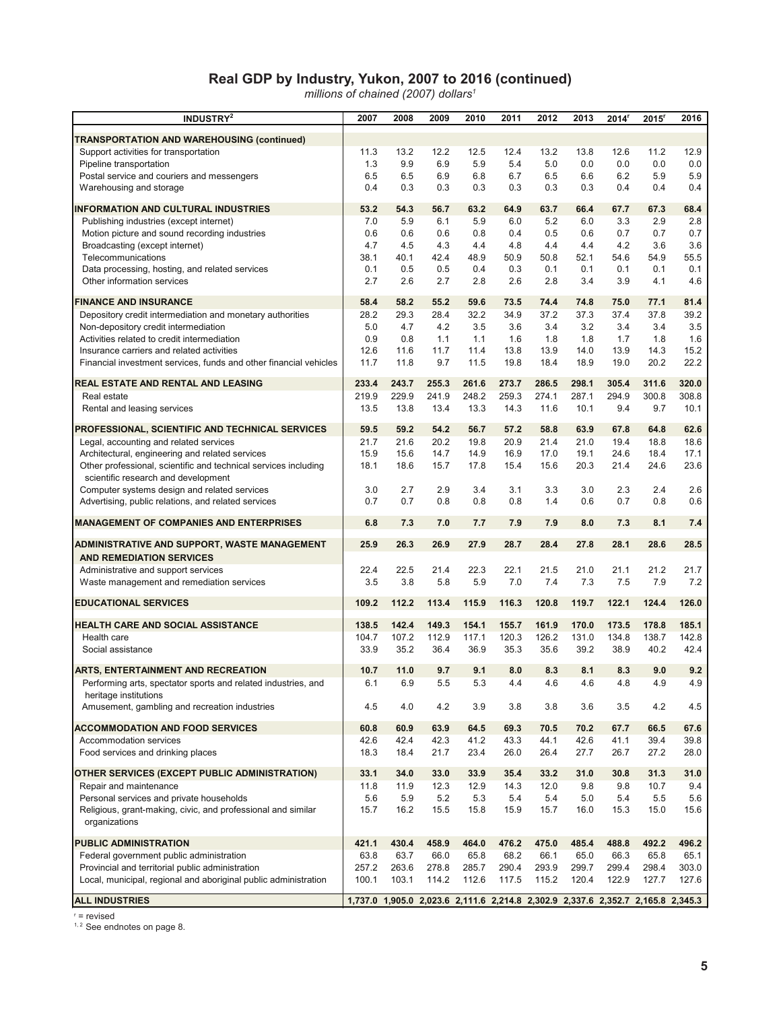#### **Real GDP by Industry, Yukon, 2007 to 2016 (continued)**

*millions of chained (2007) dollars1*

| INDUSTRY <sup>2</sup>                                                         | 2007  | 2008                                                                            | 2009  | 2010  | 2011  | 2012  | 2013  | 2014 <sup>r</sup> | $2015$ <sup>r</sup> | 2016  |
|-------------------------------------------------------------------------------|-------|---------------------------------------------------------------------------------|-------|-------|-------|-------|-------|-------------------|---------------------|-------|
| <b>TRANSPORTATION AND WAREHOUSING (continued)</b>                             |       |                                                                                 |       |       |       |       |       |                   |                     |       |
| Support activities for transportation                                         | 11.3  | 13.2                                                                            | 12.2  | 12.5  | 12.4  | 13.2  | 13.8  | 12.6              | 11.2                | 12.9  |
| Pipeline transportation                                                       | 1.3   | 9.9                                                                             | 6.9   | 5.9   | 5.4   | 5.0   | 0.0   | 0.0               | 0.0                 | 0.0   |
| Postal service and couriers and messengers                                    | 6.5   | 6.5                                                                             | 6.9   | 6.8   | 6.7   | 6.5   | 6.6   | 6.2               | 5.9                 | 5.9   |
| Warehousing and storage                                                       | 0.4   | 0.3                                                                             | 0.3   | 0.3   | 0.3   | 0.3   | 0.3   | 0.4               | 0.4                 | 0.4   |
| <b>INFORMATION AND CULTURAL INDUSTRIES</b>                                    | 53.2  | 54.3                                                                            | 56.7  | 63.2  | 64.9  | 63.7  | 66.4  | 67.7              | 67.3                | 68.4  |
| Publishing industries (except internet)                                       | 7.0   | 5.9                                                                             | 6.1   | 5.9   | 6.0   | 5.2   | 6.0   | 3.3               | 2.9                 | 2.8   |
| Motion picture and sound recording industries                                 | 0.6   | 0.6                                                                             | 0.6   | 0.8   | 0.4   | 0.5   | 0.6   | 0.7               | 0.7                 | 0.7   |
| Broadcasting (except internet)                                                | 4.7   | 4.5                                                                             | 4.3   | 4.4   | 4.8   | 4.4   | 4.4   | 4.2               | 3.6                 | 3.6   |
| Telecommunications                                                            | 38.1  | 40.1                                                                            | 42.4  | 48.9  | 50.9  | 50.8  | 52.1  | 54.6              | 54.9                | 55.5  |
| Data processing, hosting, and related services                                | 0.1   | 0.5                                                                             | 0.5   | 0.4   | 0.3   | 0.1   | 0.1   | 0.1               | 0.1                 | 0.1   |
| Other information services                                                    | 2.7   | 2.6                                                                             | 2.7   | 2.8   | 2.6   | 2.8   | 3.4   | 3.9               | 4.1                 | 4.6   |
| <b>FINANCE AND INSURANCE</b>                                                  | 58.4  | 58.2                                                                            | 55.2  | 59.6  | 73.5  | 74.4  | 74.8  | 75.0              | 77.1                | 81.4  |
| Depository credit intermediation and monetary authorities                     | 28.2  | 29.3                                                                            | 28.4  | 32.2  | 34.9  | 37.2  | 37.3  | 37.4              | 37.8                | 39.2  |
| Non-depository credit intermediation                                          | 5.0   | 4.7                                                                             | 4.2   | 3.5   | 3.6   | 3.4   | 3.2   | 3.4               | 3.4                 | 3.5   |
| Activities related to credit intermediation                                   | 0.9   | 0.8                                                                             | 1.1   | 1.1   | 1.6   | 1.8   | 1.8   | 1.7               | 1.8                 | 1.6   |
| Insurance carriers and related activities                                     | 12.6  | 11.6                                                                            | 11.7  | 11.4  | 13.8  | 13.9  | 14.0  | 13.9              | 14.3                | 15.2  |
| Financial investment services, funds and other financial vehicles             | 11.7  | 11.8                                                                            | 9.7   | 11.5  | 19.8  | 18.4  | 18.9  | 19.0              | 20.2                | 22.2  |
| REAL ESTATE AND RENTAL AND LEASING                                            | 233.4 | 243.7                                                                           | 255.3 | 261.6 | 273.7 | 286.5 | 298.1 | 305.4             | 311.6               | 320.0 |
| Real estate                                                                   | 219.9 | 229.9                                                                           | 241.9 | 248.2 | 259.3 | 274.1 | 287.1 | 294.9             | 300.8               | 308.8 |
| Rental and leasing services                                                   | 13.5  | 13.8                                                                            | 13.4  | 13.3  | 14.3  | 11.6  | 10.1  | 9.4               | 9.7                 | 10.1  |
| PROFESSIONAL, SCIENTIFIC AND TECHNICAL SERVICES                               | 59.5  | 59.2                                                                            | 54.2  | 56.7  | 57.2  | 58.8  | 63.9  | 67.8              | 64.8                | 62.6  |
| Legal, accounting and related services                                        | 21.7  | 21.6                                                                            | 20.2  | 19.8  | 20.9  | 21.4  | 21.0  | 19.4              | 18.8                | 18.6  |
| Architectural, engineering and related services                               | 15.9  | 15.6                                                                            | 14.7  | 14.9  | 16.9  | 17.0  | 19.1  | 24.6              | 18.4                | 17.1  |
| Other professional, scientific and technical services including               | 18.1  | 18.6                                                                            | 15.7  | 17.8  | 15.4  | 15.6  | 20.3  | 21.4              | 24.6                | 23.6  |
| scientific research and development                                           |       |                                                                                 |       |       |       |       |       |                   |                     |       |
| Computer systems design and related services                                  | 3.0   | 2.7                                                                             | 2.9   | 3.4   | 3.1   | 3.3   | 3.0   | 2.3               | 2.4                 | 2.6   |
| Advertising, public relations, and related services                           | 0.7   | 0.7                                                                             | 0.8   | 0.8   | 0.8   | 1.4   | 0.6   | 0.7               | 0.8                 | 0.6   |
| <b>MANAGEMENT OF COMPANIES AND ENTERPRISES</b>                                | 6.8   | 7.3                                                                             | 7.0   | 7.7   | 7.9   | 7.9   | 8.0   | 7.3               | 8.1                 | 7.4   |
| ADMINISTRATIVE AND SUPPORT, WASTE MANAGEMENT                                  | 25.9  | 26.3                                                                            | 26.9  | 27.9  | 28.7  | 28.4  | 27.8  | 28.1              | 28.6                | 28.5  |
| <b>AND REMEDIATION SERVICES</b>                                               |       |                                                                                 |       |       |       |       |       |                   |                     |       |
| Administrative and support services                                           | 22.4  | 22.5                                                                            | 21.4  | 22.3  | 22.1  | 21.5  | 21.0  | 21.1              | 21.2                | 21.7  |
| Waste management and remediation services                                     | 3.5   | 3.8                                                                             | 5.8   | 5.9   | 7.0   | 7.4   | 7.3   | 7.5               | 7.9                 | 7.2   |
| <b>EDUCATIONAL SERVICES</b>                                                   | 109.2 | 112.2                                                                           | 113.4 | 115.9 | 116.3 | 120.8 | 119.7 | 122.1             | 124.4               | 126.0 |
| <b>HEALTH CARE AND SOCIAL ASSISTANCE</b>                                      | 138.5 | 142.4                                                                           | 149.3 | 154.1 | 155.7 | 161.9 | 170.0 | 173.5             | 178.8               | 185.1 |
| Health care                                                                   | 104.7 | 107.2                                                                           | 112.9 | 117.1 | 120.3 | 126.2 | 131.0 | 134.8             | 138.7               | 142.8 |
| Social assistance                                                             | 33.9  | 35.2                                                                            | 36.4  | 36.9  | 35.3  | 35.6  | 39.2  | 38.9              | 40.2                | 42.4  |
|                                                                               |       |                                                                                 |       |       |       |       |       |                   |                     |       |
| ARTS, ENTERTAINMENT AND RECREATION                                            | 10.7  | 11.0                                                                            | 9.7   | 9.1   | 8.0   | 8.3   | 8.1   | 8.3               | 9.0                 | 9.2   |
| Performing arts, spectator sports and related industries, and                 | 6.1   | 6.9                                                                             | b.b   | 5.3   | 4.4   | 4.6   | 4.6   | 4.8               | 4.9                 | 4.9   |
| heritage institutions<br>Amusement, gambling and recreation industries        | 4.5   | 4.0                                                                             | 4.2   | 3.9   | 3.8   | 3.8   | 3.6   | 3.5               | 4.2                 | 4.5   |
|                                                                               |       |                                                                                 |       |       |       |       |       |                   |                     |       |
| <b>ACCOMMODATION AND FOOD SERVICES</b>                                        | 60.8  | 60.9                                                                            | 63.9  | 64.5  | 69.3  | 70.5  | 70.2  | 67.7              | 66.5                | 67.6  |
| Accommodation services                                                        | 42.6  | 42.4                                                                            | 42.3  | 41.2  | 43.3  | 44.1  | 42.6  | 41.1              | 39.4                | 39.8  |
| Food services and drinking places                                             | 18.3  | 18.4                                                                            | 21.7  | 23.4  | 26.0  | 26.4  | 27.7  | 26.7              | 27.2                | 28.0  |
| OTHER SERVICES (EXCEPT PUBLIC ADMINISTRATION)                                 | 33.1  | 34.0                                                                            | 33.0  | 33.9  | 35.4  | 33.2  | 31.0  | 30.8              | 31.3                | 31.0  |
| Repair and maintenance                                                        | 11.8  | 11.9                                                                            | 12.3  | 12.9  | 14.3  | 12.0  | 9.8   | 9.8               | 10.7                | 9.4   |
| Personal services and private households                                      | 5.6   | 5.9                                                                             | 5.2   | 5.3   | 5.4   | 5.4   | 5.0   | 5.4               | 5.5                 | 5.6   |
| Religious, grant-making, civic, and professional and similar<br>organizations | 15.7  | 16.2                                                                            | 15.5  | 15.8  | 15.9  | 15.7  | 16.0  | 15.3              | 15.0                | 15.6  |
| <b>PUBLIC ADMINISTRATION</b>                                                  | 421.1 | 430.4                                                                           | 458.9 | 464.0 | 476.2 | 475.0 | 485.4 | 488.8             | 492.2               | 496.2 |
| Federal government public administration                                      | 63.8  | 63.7                                                                            | 66.0  | 65.8  | 68.2  | 66.1  | 65.0  | 66.3              | 65.8                | 65.1  |
| Provincial and territorial public administration                              | 257.2 | 263.6                                                                           | 278.8 | 285.7 | 290.4 | 293.9 | 299.7 | 299.4             | 298.4               | 303.0 |
| Local, municipal, regional and aboriginal public administration               | 100.1 | 103.1                                                                           | 114.2 | 112.6 | 117.5 | 115.2 | 120.4 | 122.9             | 127.7               | 127.6 |
|                                                                               |       |                                                                                 |       |       |       |       |       |                   |                     |       |
| <b>ALL INDUSTRIES</b>                                                         |       | 1,737.0 1,905.0 2,023.6 2,111.6 2,214.8 2,302.9 2,337.6 2,352.7 2,165.8 2,345.3 |       |       |       |       |       |                   |                     |       |

 $r =$  revised<br> $r<sup>1, 2</sup>$  See endnotes on page 8.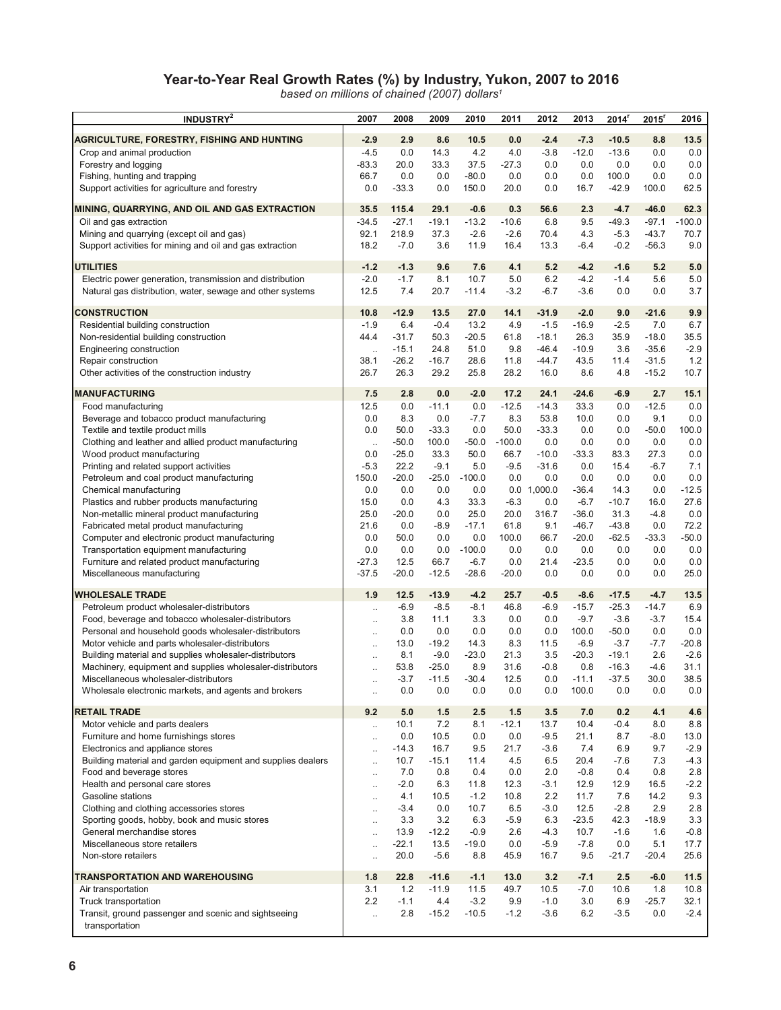#### **Year-to-Year Real Growth Rates (%) by Industry, Yukon, 2007 to 2016**

*based on millions of chained (2007) dollars1*

| <b>INDUSTRY</b> <sup>2</sup>                                                                              | 2007                              | 2008            | 2009              | 2010            | 2011         | 2012            | 2013               | $2014$ <sup>r</sup> | $2015$ <sup>r</sup> | 2016              |
|-----------------------------------------------------------------------------------------------------------|-----------------------------------|-----------------|-------------------|-----------------|--------------|-----------------|--------------------|---------------------|---------------------|-------------------|
| AGRICULTURE, FORESTRY, FISHING AND HUNTING                                                                | $-2.9$                            | 2.9             | 8.6               | 10.5            | 0.0          | $-2.4$          | $-7.3$             | $-10.5$             | 8.8                 | 13.5              |
| Crop and animal production                                                                                | $-4.5$                            | 0.0             | 14.3              | 4.2             | 4.0          | $-3.8$          | $-12.0$            | $-13.6$             | 0.0                 | 0.0               |
| Forestry and logging                                                                                      | $-83.3$                           | 20.0            | 33.3              | 37.5            | $-27.3$      | 0.0             | 0.0                | 0.0                 | 0.0                 | 0.0               |
| Fishing, hunting and trapping                                                                             | 66.7                              | 0.0             | 0.0               | $-80.0$         | 0.0          | 0.0             | 0.0                | 100.0               | 0.0                 | 0.0               |
| Support activities for agriculture and forestry                                                           | 0.0                               | $-33.3$         | 0.0               | 150.0           | 20.0         | 0.0             | 16.7               | $-42.9$             | 100.0               | 62.5              |
| MINING, QUARRYING, AND OIL AND GAS EXTRACTION                                                             | 35.5                              | 115.4           | 29.1              | $-0.6$          | 0.3          | 56.6            | 2.3                | $-4.7$              | $-46.0$             | 62.3              |
| Oil and gas extraction                                                                                    | $-34.5$                           | $-27.1$         | $-19.1$           | $-13.2$         | $-10.6$      | 6.8             | 9.5                | $-49.3$             | $-97.1$             | $-100.0$          |
| Mining and quarrying (except oil and gas)                                                                 | 92.1                              | 218.9           | 37.3              | $-2.6$          | $-2.6$       | 70.4            | 4.3                | $-5.3$              | $-43.7$             | 70.7              |
| Support activities for mining and oil and gas extraction                                                  | 18.2                              | $-7.0$          | 3.6               | 11.9            | 16.4         | 13.3            | $-6.4$             | $-0.2$              | $-56.3$             | 9.0               |
| <b>UTILITIES</b>                                                                                          | $-1.2$                            | $-1.3$          | 9.6               | 7.6             | 4.1          | 5.2             | $-4.2$             | $-1.6$              | 5.2                 | 5.0               |
| Electric power generation, transmission and distribution                                                  | $-2.0$                            | $-1.7$          | 8.1               | 10.7            | 5.0          | 6.2             | $-4.2$             | $-1.4$              | 5.6                 | 5.0               |
| Natural gas distribution, water, sewage and other systems                                                 | 12.5                              | 7.4             | 20.7              | $-11.4$         | $-3.2$       | $-6.7$          | $-3.6$             | 0.0                 | 0.0                 | 3.7               |
| <b>CONSTRUCTION</b>                                                                                       | 10.8                              | $-12.9$         | 13.5              | 27.0            | 14.1         | $-31.9$         | $-2.0$             | 9.0                 | $-21.6$             | 9.9               |
| Residential building construction                                                                         | $-1.9$                            | 6.4             | $-0.4$            | 13.2            | 4.9          | $-1.5$          | $-16.9$            | $-2.5$              | 7.0                 | 6.7               |
| Non-residential building construction                                                                     | 44.4                              | $-31.7$         | 50.3              | $-20.5$         | 61.8         | $-18.1$         | 26.3               | 35.9                | $-18.0$             | 35.5              |
| Engineering construction                                                                                  | $\ddot{\phantom{a}}$              | $-15.1$         | 24.8              | 51.0            | 9.8          | $-46.4$         | $-10.9$            | 3.6                 | $-35.6$             | $-2.9$            |
| Repair construction<br>Other activities of the construction industry                                      | 38.1<br>26.7                      | $-26.2$<br>26.3 | $-16.7$<br>29.2   | 28.6<br>25.8    | 11.8<br>28.2 | $-44.7$<br>16.0 | 43.5<br>8.6        | 11.4<br>4.8         | $-31.5$<br>$-15.2$  | 1.2<br>10.7       |
|                                                                                                           |                                   |                 |                   |                 |              |                 |                    |                     |                     |                   |
| <b>MANUFACTURING</b>                                                                                      | 7.5                               | 2.8             | 0.0               | $-2.0$          | 17.2         | 24.1            | $-24.6$            | $-6.9$              | 2.7                 | 15.1              |
| Food manufacturing                                                                                        | 12.5                              | 0.0             | $-11.1$           | 0.0             | $-12.5$      | $-14.3$         | 33.3               | 0.0                 | $-12.5$             | 0.0               |
| Beverage and tobacco product manufacturing<br>Textile and textile product mills                           | 0.0<br>0.0                        | 8.3<br>50.0     | 0.0<br>$-33.3$    | $-7.7$<br>0.0   | 8.3<br>50.0  | 53.8<br>$-33.3$ | 10.0<br>0.0        | 0.0<br>0.0          | 9.1<br>$-50.0$      | 0.0<br>100.0      |
| Clothing and leather and allied product manufacturing                                                     | $\ddotsc$                         | $-50.0$         | 100.0             | $-50.0$         | $-100.0$     | 0.0             | 0.0                | 0.0                 | 0.0                 | 0.0               |
| Wood product manufacturing                                                                                | 0.0                               | $-25.0$         | 33.3              | 50.0            | 66.7         | $-10.0$         | $-33.3$            | 83.3                | 27.3                | 0.0               |
| Printing and related support activities                                                                   | $-5.3$                            | 22.2            | $-9.1$            | 5.0             | $-9.5$       | $-31.6$         | 0.0                | 15.4                | $-6.7$              | 7.1               |
| Petroleum and coal product manufacturing                                                                  | 150.0                             | $-20.0$         | $-25.0$           | $-100.0$        | 0.0          | 0.0             | 0.0                | 0.0                 | 0.0                 | 0.0               |
| Chemical manufacturing                                                                                    | 0.0                               | 0.0             | 0.0               | 0.0             | 0.0          | 1,000.0         | $-36.4$            | 14.3                | 0.0                 | $-12.5$           |
| Plastics and rubber products manufacturing                                                                | 15.0                              | 0.0             | 4.3               | 33.3            | $-6.3$       | 0.0             | $-6.7$             | $-10.7$             | 16.0                | 27.6              |
| Non-metallic mineral product manufacturing<br>Fabricated metal product manufacturing                      | 25.0<br>21.6                      | $-20.0$<br>0.0  | 0.0<br>$-8.9$     | 25.0<br>$-17.1$ | 20.0<br>61.8 | 316.7<br>9.1    | $-36.0$<br>$-46.7$ | 31.3<br>$-43.8$     | $-4.8$<br>0.0       | 0.0<br>72.2       |
| Computer and electronic product manufacturing                                                             | 0.0                               | 50.0            | 0.0               | 0.0             | 100.0        | 66.7            | $-20.0$            | $-62.5$             | $-33.3$             | $-50.0$           |
| Transportation equipment manufacturing                                                                    | 0.0                               | 0.0             | 0.0               | $-100.0$        | 0.0          | 0.0             | 0.0                | 0.0                 | 0.0                 | 0.0               |
| Furniture and related product manufacturing                                                               | $-27.3$                           | 12.5            | 66.7              | $-6.7$          | 0.0          | 21.4            | $-23.5$            | 0.0                 | 0.0                 | 0.0               |
| Miscellaneous manufacturing                                                                               | $-37.5$                           | $-20.0$         | $-12.5$           | $-28.6$         | $-20.0$      | 0.0             | 0.0                | 0.0                 | 0.0                 | 25.0              |
| <b>WHOLESALE TRADE</b>                                                                                    | 1.9                               | 12.5            | $-13.9$           | $-4.2$          | 25.7         | $-0.5$          | $-8.6$             | $-17.5$             | $-4.7$              | 13.5              |
| Petroleum product wholesaler-distributors                                                                 | $\ddot{\phantom{a}}$              | $-6.9$          | $-8.5$            | $-8.1$          | 46.8         | $-6.9$          | $-15.7$            | $-25.3$             | $-14.7$             | 6.9               |
| Food, beverage and tobacco wholesaler-distributors                                                        | $\ddotsc$                         | 3.8             | 11.1              | 3.3             | 0.0          | 0.0             | $-9.7$             | $-3.6$              | $-3.7$              | 15.4              |
| Personal and household goods wholesaler-distributors                                                      | $\ddotsc$                         | 0.0             | 0.0               | 0.0             | 0.0          | 0.0             | 100.0              | $-50.0$             | 0.0                 | 0.0               |
| Motor vehicle and parts wholesaler-distributors<br>Building material and supplies wholesaler-distributors | $\ddotsc$                         | 13.0<br>8.1     | $-19.2$<br>$-9.0$ | 14.3<br>$-23.0$ | 8.3<br>21.3  | 11.5<br>3.5     | $-6.9$<br>$-20.3$  | $-3.7$<br>$-19.1$   | $-7.7$<br>2.6       | $-20.8$<br>$-2.6$ |
| Machinery, equipment and supplies wholesaler-distributors                                                 | $\ddotsc$<br>$\ddot{\phantom{a}}$ | 53.8            | $-25.0$           | 8.9             | 31.6         | $-0.8$          | 0.8                | $-16.3$             | $-4.6$              | 31.1              |
| Miscellaneous wholesaler-distributors                                                                     |                                   | $-3.7$          | $-11.5$           | $-30.4$         | 12.5         | 0.0             | $-11.1$            | $-37.5$             | 30.0                | 38.5              |
| Wholesale electronic markets, and agents and brokers                                                      | $\ddotsc$                         | 0.0             | 0.0               | 0.0             | 0.0          | 0.0             | 100.0              | 0.0                 | 0.0                 | 0.0               |
| <b>RETAIL TRADE</b>                                                                                       | 9.2                               | 5.0             | $1.5$             | 2.5             | 1.5          | 3.5             | 7.0                | 0.2                 | 4.1                 | 4.6               |
| Motor vehicle and parts dealers                                                                           | $\ddotsc$                         | 10.1            | 7.2               | 8.1             | $-12.1$      | 13.7            | 10.4               | $-0.4$              | 8.0                 | 8.8               |
| Furniture and home furnishings stores                                                                     | $\ddotsc$                         | 0.0             | 10.5              | 0.0             | 0.0          | $-9.5$          | 21.1               | 8.7                 | $-8.0$              | 13.0              |
| Electronics and appliance stores                                                                          | $\ddotsc$                         | $-14.3$         | 16.7              | 9.5             | 21.7         | $-3.6$          | 7.4                | 6.9                 | 9.7                 | $-2.9$            |
| Building material and garden equipment and supplies dealers                                               | $\ddot{\phantom{a}}$              | 10.7            | $-15.1$           | 11.4            | 4.5          | 6.5             | 20.4               | -7.6                | 7.3                 | $-4.3$            |
| Food and beverage stores<br>Health and personal care stores                                               | $\ddot{\phantom{a}}$              | 7.0<br>$-2.0$   | 0.8<br>6.3        | 0.4<br>11.8     | 0.0<br>12.3  | 2.0<br>$-3.1$   | $-0.8$<br>12.9     | 0.4<br>12.9         | 0.8<br>16.5         | 2.8<br>$-2.2$     |
| Gasoline stations                                                                                         | $\ldots$<br>$\ddotsc$             | 4.1             | 10.5              | $-1.2$          | 10.8         | 2.2             | 11.7               | 7.6                 | 14.2                | 9.3               |
| Clothing and clothing accessories stores                                                                  | $\ddotsc$                         | $-3.4$          | 0.0               | 10.7            | 6.5          | $-3.0$          | 12.5               | $-2.8$              | 2.9                 | 2.8               |
| Sporting goods, hobby, book and music stores                                                              | $\ddotsc$                         | 3.3             | 3.2               | 6.3             | $-5.9$       | 6.3             | $-23.5$            | 42.3                | $-18.9$             | 3.3               |
| General merchandise stores                                                                                | $\ddotsc$                         | 13.9            | $-12.2$           | $-0.9$          | 2.6          | $-4.3$          | 10.7               | $-1.6$              | 1.6                 | $-0.8$            |
| Miscellaneous store retailers                                                                             | $\ddot{\phantom{a}}$              | $-22.1$         | 13.5              | $-19.0$         | 0.0          | $-5.9$          | $-7.8$             | 0.0                 | 5.1                 | 17.7              |
| Non-store retailers                                                                                       | $\ddotsc$                         | 20.0            | $-5.6$            | 8.8             | 45.9         | 16.7            | 9.5                | $-21.7$             | $-20.4$             | 25.6              |
| TRANSPORTATION AND WAREHOUSING                                                                            | 1.8                               | 22.8            | $-11.6$           | $-1.1$          | 13.0         | 3.2             | $-7.1$             | 2.5                 | $-6.0$              | 11.5              |
| Air transportation                                                                                        | 3.1                               | 1.2             | $-11.9$           | 11.5            | 49.7         | 10.5            | $-7.0$             | 10.6                | 1.8                 | 10.8              |
| Truck transportation                                                                                      | 2.2                               | $-1.1$          | 4.4               | $-3.2$          | 9.9          | $-1.0$          | 3.0                | 6.9                 | $-25.7$             | 32.1              |
| Transit, ground passenger and scenic and sightseeing<br>transportation                                    | $\ddot{\phantom{a}}$              | 2.8             | $-15.2$           | $-10.5$         | $-1.2$       | $-3.6$          | 6.2                | $-3.5$              | 0.0                 | $-2.4$            |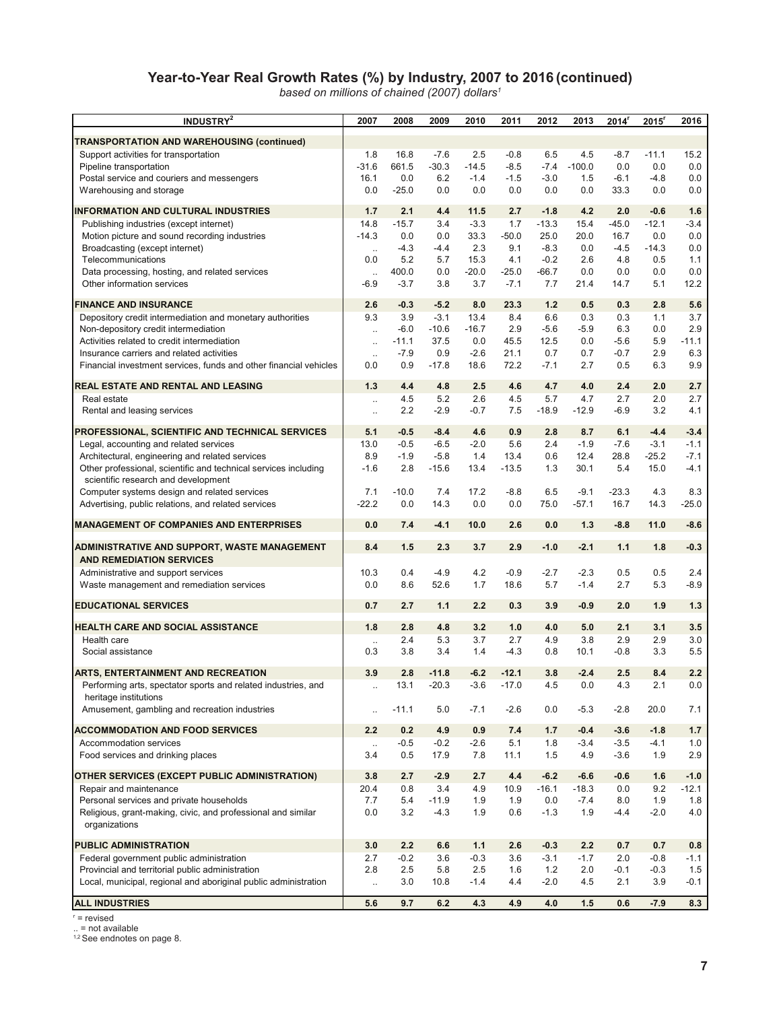#### **Year-to-Year Real Growth Rates (%) by Industry, 2007 to 2016 (continued)**

*based on millions of chained (2007) dollars1*

| INDUSTRY <sup>2</sup>                                                                        | 2007                 | 2008          | 2009              | 2010          | 2011           | 2012          | 2013              | 2014 <sup>r</sup> | $2015$ <sup>r</sup> | 2016          |
|----------------------------------------------------------------------------------------------|----------------------|---------------|-------------------|---------------|----------------|---------------|-------------------|-------------------|---------------------|---------------|
|                                                                                              |                      |               |                   |               |                |               |                   |                   |                     |               |
| TRANSPORTATION AND WAREHOUSING (continued)<br>Support activities for transportation          | 1.8                  | 16.8          | $-7.6$            | 2.5           | $-0.8$         | 6.5           | 4.5               | $-8.7$            | $-11.1$             | 15.2          |
| Pipeline transportation                                                                      | $-31.6$              | 661.5         | $-30.3$           | $-14.5$       | $-8.5$         | $-7.4$        | $-100.0$          | 0.0               | 0.0                 | 0.0           |
| Postal service and couriers and messengers                                                   | 16.1                 | 0.0           | 6.2               | $-1.4$        | $-1.5$         | $-3.0$        | 1.5               | $-6.1$            | $-4.8$              | 0.0           |
| Warehousing and storage                                                                      | 0.0                  | $-25.0$       | 0.0               | 0.0           | 0.0            | 0.0           | 0.0               | 33.3              | 0.0                 | 0.0           |
| <b>INFORMATION AND CULTURAL INDUSTRIES</b>                                                   | 1.7                  | 2.1           | 4.4               | 11.5          | 2.7            | $-1.8$        | 4.2               | 2.0               | $-0.6$              | 1.6           |
| Publishing industries (except internet)                                                      | 14.8                 | $-15.7$       | 3.4               | $-3.3$        | 1.7            | $-13.3$       | 15.4              | $-45.0$           | $-12.1$             | $-3.4$        |
| Motion picture and sound recording industries                                                | $-14.3$              | 0.0           | 0.0               | 33.3          | $-50.0$        | 25.0          | 20.0              | 16.7              | 0.0                 | 0.0           |
| Broadcasting (except internet)                                                               | $\sim$               | $-4.3$        | $-4.4$            | 2.3           | 9.1            | $-8.3$        | 0.0               | $-4.5$            | $-14.3$             | 0.0           |
| Telecommunications                                                                           | 0.0                  | 5.2           | 5.7               | 15.3          | 4.1            | $-0.2$        | 2.6               | 4.8               | 0.5                 | 1.1           |
| Data processing, hosting, and related services                                               | $\ldots$             | 400.0         | 0.0               | $-20.0$       | $-25.0$        | $-66.7$       | 0.0               | 0.0               | 0.0                 | 0.0           |
| Other information services                                                                   | -6.9                 | $-3.7$        | 3.8               | 3.7           | $-7.1$         | 7.7           | 21.4              | 14.7              | 5.1                 | 12.2          |
| <b>FINANCE AND INSURANCE</b>                                                                 | 2.6                  | $-0.3$        | $-5.2$            | 8.0           | 23.3           | 1.2           | 0.5               | 0.3               | 2.8                 | 5.6           |
| Depository credit intermediation and monetary authorities                                    | 9.3                  | 3.9           | $-3.1$            | 13.4          | 8.4            | 6.6           | 0.3               | 0.3               | 1.1                 | 3.7           |
| Non-depository credit intermediation                                                         | $\ldots$             | $-6.0$        | $-10.6$           | $-16.7$       | 2.9            | $-5.6$        | $-5.9$            | 6.3               | 0.0                 | 2.9           |
| Activities related to credit intermediation                                                  | $\ddotsc$            | $-11.1$       | 37.5              | 0.0           | 45.5           | 12.5          | 0.0               | $-5.6$            | 5.9                 | $-11.1$       |
| Insurance carriers and related activities                                                    | $\ddot{\phantom{a}}$ | $-7.9$        | 0.9               | $-2.6$        | 21.1           | 0.7           | 0.7               | $-0.7$            | 2.9                 | 6.3           |
| Financial investment services, funds and other financial vehicles                            | 0.0                  | 0.9           | $-17.8$           | 18.6          | 72.2           | -7.1          | 2.7               | 0.5               | 6.3                 | 9.9           |
| REAL ESTATE AND RENTAL AND LEASING                                                           | 1.3                  | 4.4           | 4.8               | 2.5           | 4.6            | 4.7           | 4.0               | 2.4               | 2.0                 | 2.7           |
| Real estate                                                                                  | $\ddotsc$            | 4.5           | 5.2               | 2.6           | 4.5            | 5.7           | 4.7               | 2.7               | 2.0                 | 2.7           |
| Rental and leasing services                                                                  | $\ddotsc$            | 2.2           | $-2.9$            | $-0.7$        | 7.5            | $-18.9$       | $-12.9$           | $-6.9$            | 3.2                 | 4.1           |
| PROFESSIONAL, SCIENTIFIC AND TECHNICAL SERVICES                                              | 5.1                  | $-0.5$        | $-8.4$            | 4.6           | 0.9            | 2.8           | 8.7               | 6.1               | $-4.4$              | $-3.4$        |
| Legal, accounting and related services                                                       | 13.0                 | $-0.5$        | $-6.5$            | $-2.0$        | 5.6            | 2.4           | $-1.9$            | $-7.6$            | $-3.1$              | $-1.1$        |
| Architectural, engineering and related services                                              | 8.9                  | $-1.9$        | $-5.8$            | 1.4           | 13.4           | 0.6           | 12.4              | 28.8              | $-25.2$             | $-7.1$        |
| Other professional, scientific and technical services including                              | $-1.6$               | 2.8           | $-15.6$           | 13.4          | $-13.5$        | 1.3           | 30.1              | 5.4               | 15.0                | $-4.1$        |
| scientific research and development                                                          |                      |               |                   |               |                |               |                   |                   |                     |               |
| Computer systems design and related services                                                 | 7.1                  | $-10.0$       | 7.4               | 17.2          | $-8.8$         | 6.5           | $-9.1$            | $-23.3$           | 4.3                 | 8.3           |
| Advertising, public relations, and related services                                          | $-22.2$              | 0.0           | 14.3              | 0.0           | 0.0            | 75.0          | $-57.1$           | 16.7              | 14.3                | $-25.0$       |
| <b>MANAGEMENT OF COMPANIES AND ENTERPRISES</b>                                               | 0.0                  | 7.4           | $-4.1$            | 10.0          | 2.6            | 0.0           | 1.3               | $-8.8$            | 11.0                | $-8.6$        |
|                                                                                              |                      |               |                   |               |                |               |                   |                   |                     |               |
| ADMINISTRATIVE AND SUPPORT, WASTE MANAGEMENT                                                 | 8.4                  | 1.5           | 2.3               | 3.7           | 2.9            | $-1.0$        | $-2.1$            | 1.1               | 1.8                 | $-0.3$        |
| <b>AND REMEDIATION SERVICES</b>                                                              |                      |               |                   |               |                |               |                   |                   |                     |               |
| Administrative and support services                                                          | 10.3<br>0.0          | 0.4<br>8.6    | $-4.9$<br>52.6    | 4.2<br>1.7    | $-0.9$<br>18.6 | $-2.7$<br>5.7 | $-2.3$<br>$-1.4$  | 0.5<br>2.7        | 0.5<br>5.3          | 2.4<br>$-8.9$ |
| Waste management and remediation services                                                    |                      |               |                   |               |                |               |                   |                   |                     |               |
| <b>EDUCATIONAL SERVICES</b>                                                                  | 0.7                  | 2.7           | 1.1               | 2.2           | 0.3            | 3.9           | $-0.9$            | 2.0               | 1.9                 | 1.3           |
| HEALTH CARE AND SOCIAL ASSISTANCE                                                            | 1.8                  | 2.8           | 4.8               | 3.2           | 1.0            | 4.0           | 5.0               | 2.1               | 3.1                 | 3.5           |
| Health care                                                                                  |                      | 2.4           | 5.3               | 3.7           | 2.7            | 4.9           | 3.8               | 2.9               | 2.9                 | 3.0           |
| Social assistance                                                                            | 0.3                  | 3.8           | 3.4               | 1.4           | $-4.3$         | 0.8           | 10.1              | $-0.8$            | 3.3                 | 5.5           |
| <b>ARTS, ENTERTAINMENT AND RECREATION</b>                                                    | 3.9                  | 2.8           | $-11.8$           | $-6.2$        | $-12.1$        | 3.8           | $-2.4$            | 2.5               | 8.4                 | 2.2           |
| Performing arts, spectator sports and related industries, and                                | $\ddotsc$            | 13.1          | -20.3             | -3.6          | $-17.0$        | 4.5           | 0.0               | 4.3               | 2.1                 | 0.0           |
| heritage institutions                                                                        |                      |               |                   |               |                |               |                   |                   |                     |               |
| Amusement, gambling and recreation industries                                                | $\ddot{\phantom{a}}$ | $-11.1$       | 5.0               | $-7.1$        | $-2.6$         | 0.0           | $-5.3$            | $-2.8$            | 20.0                | 7.1           |
| <b>ACCOMMODATION AND FOOD SERVICES</b>                                                       | 2.2                  | 0.2           | 4.9               | 0.9           | 7.4            | 1.7           | $-0.4$            | $-3.6$            | $-1.8$              | 1.7           |
| Accommodation services                                                                       | $\ddotsc$            | $-0.5$        | $-0.2$            | $-2.6$        | 5.1            | 1.8           | $-3.4$            | $-3.5$            | $-4.1$              | 1.0           |
| Food services and drinking places                                                            | 3.4                  | 0.5           | 17.9              | 7.8           | 11.1           | 1.5           | 4.9               | $-3.6$            | 1.9                 | 2.9           |
|                                                                                              |                      |               |                   |               |                |               |                   |                   |                     |               |
| OTHER SERVICES (EXCEPT PUBLIC ADMINISTRATION)                                                | 3.8                  | 2.7           | $-2.9$            | 2.7           | 4.4            | $-6.2$        | $-6.6$            | $-0.6$            | 1.6                 | $-1.0$        |
| Repair and maintenance<br>Personal services and private households                           | 20.4                 | 0.8           | 3.4               | 4.9           | 10.9           | $-16.1$       | $-18.3$<br>$-7.4$ | 0.0               | 9.2                 | $-12.1$       |
| Religious, grant-making, civic, and professional and similar                                 | 7.7<br>0.0           | 5.4<br>3.2    | $-11.9$<br>$-4.3$ | 1.9<br>1.9    | 1.9<br>0.6     | 0.0<br>$-1.3$ | 1.9               | 8.0<br>$-4.4$     | 1.9<br>$-2.0$       | 1.8<br>4.0    |
| organizations                                                                                |                      |               |                   |               |                |               |                   |                   |                     |               |
|                                                                                              |                      |               |                   |               |                |               |                   |                   |                     |               |
| <b>PUBLIC ADMINISTRATION</b>                                                                 | 3.0                  | 2.2           | 6.6               | 1.1           | 2.6            | $-0.3$        | 2.2               | 0.7               | 0.7                 | 0.8           |
| Federal government public administration<br>Provincial and territorial public administration | 2.7<br>2.8           | $-0.2$<br>2.5 | 3.6               | $-0.3$<br>2.5 | 3.6            | $-3.1$<br>1.2 | $-1.7$<br>2.0     | 2.0               | $-0.8$<br>$-0.3$    | $-1.1$<br>1.5 |
| Local, municipal, regional and aboriginal public administration                              | $\ddotsc$            | 3.0           | 5.8<br>10.8       | $-1.4$        | 1.6<br>4.4     | $-2.0$        | 4.5               | -0.1<br>2.1       | 3.9                 | $-0.1$        |
|                                                                                              |                      |               |                   |               |                |               |                   |                   |                     |               |
| <b>ALL INDUSTRIES</b>                                                                        | 5.6                  | 9.7           | 6.2               | 4.3           | 4.9            | 4.0           | 1.5               | 0.6               | $-7.9$              | 8.3           |

 $r =$  revised

.. = not available<br><sup>1,2</sup> See endnotes on page 8.